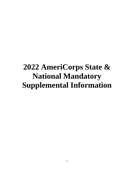# **2022 AmeriCorps State & National Mandatory Supplemental Information**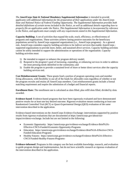*The AmeriCorps State & National Mandatory Supplemental Information is intended to provide applicants with additional information for the preparation of their applications under the AmeriCorps State and National Notice of Federal Funding Opportunity. The Supplemental Information provides both detailed definitions of certain terms included in the Notice, as well as additional details regarding how to properly file an application under the Notice. This Supplemental Information is incorporated by reference in the Notice, and applicants must comply with any requirements stated in this Supplemental Information.* 

**Capacity Building:** A set of activities that expand the scale, reach, efficiency, or effectiveness of programs and organizations. These activities achieve lasting positive outcomes for the beneficiary populations served by AmeriCorps supported organizations (i.e., AmeriCorps programs).As a general rule, AmeriCorps considers capacity building activities to be *indirect services* that enable AmeriCorps supported organizations to provide more, better, and sustained *direct services*. Capacity building activities cannot be solely intended to support the administration or operations of the organization. Capacity building activities must:

- 1) Be intended to support or enhance the program delivery model;
- 2) Respond to the program's goal of increasing, expanding, or enhancing services in order to address the most pressing needs identified in the community; and
- 3) Enable the program to provide a sustained level of more or better direct services after the capacity building services end.

**Cost Reimbursement Grants**: These grants fund a portion of program operating costs and member living allowances, with flexibility to use all of the funds for allowable costs regardless of whether or not the program recruits and retains all AmeriCorps members. Cost reimbursement grants include a formal matching requirement and require the submission of a budget and financial reports.

**Enrollment Rate:** The enrollment rate is calculated as slots filled, plus refill slots filled, divided by slots awarded.

**Evidence-based**: Evidence-based programs that have been rigorously evaluated and have demonstrated positive results for at least one key desired outcome. Rigorous evaluation means conducting at least one Randomized Controlled Trial (RCT) or Quasi-Experimental Design (QED) evaluation of the same intervention described in the application.

Evidence-based interventions on the AmeriCorps Evidence Exchange: interventions supported by positive results from rigorous evaluations that are documented at https://americorps.gov/about/ourimpact/evidence-exchange. Include but are not limited to the following:

- Economic Opportunity: https://americorps.gov/evidence-exchange/Evidence-Brief%3A-Effective-CNCS-Funded-Economic-Opportunity-Programs
- Education: https://americorps.gov/evidence-exchange/Evidence-Brief%3A-Effective-CNCS-Funded-Education-Programs
- Healthy Futures: https://americorps.gov/evidence-exchange/Evidence-Brief%3A-Effective-CNCS-Funded-Healthy-Futures-Programs-

**Evidence-informed**: Programs in this category use the best available knowledge, research, and evaluation to guide program design and implementation, but do not have scientific research or rigorous evaluation of the intervention described in the application.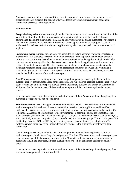Applicants may be evidence-informed if they have incorporated research from other evidence-based programs into their program designs and/or have collected performance measurement data on the intervention described in the application.

## **Evidence Tiers**

**Pre-preliminary evidence** means the applicant has not submitted an outcome or impact evaluation of the same intervention described in the application, although the applicant may have collected some performance data on the intervention (e.g., data on intervention outputs and/or outcomes). Applicants in this tier must describe in the Evidence Base section of the application how their program design is evidence-informed (see definition above). Applicants may also cite prior performance measure data if applicable.

**Preliminary evidence** means the applicant has submitted up to two outcome evaluation reports (nonexperimental) that evaluated the same intervention described in the application and yielded positive results on one or more key desired outcomes of interest as depicted in the applicant's logic model. The outcome evaluations may either have been conducted internally by the applicant organization or by an entity external to the applicant. The study design must include pre- and post-assessments without a statistically matched comparison group or a post-assessment comparison between intervention and comparison groups. In some cases, a retrospective pre-post assessment may be considered, but its use must be justified in the text of the evaluation report.

AmeriCorps grantees recompeting for their third competitive grant cycle are required to submit an evaluation report of their AmeriCorps funded program. The AmeriCorps -required evaluation report may count towards one of the two reports allowed for the Preliminary evidence tier or may be submitted in addition to this. In the latter case, all three evaluation reports will be considered against the review criteria.

If the applicant is not required to submit an evaluation report of their AmeriCorps funded program, then more than two reports will not be considered.

**Moderate evidence** means the applicant has submitted up to two well-designed and well-implemented evaluation reports that evaluated the same intervention described in the application and identified evidence of effectiveness on one or more key desired outcomes of interest as depicted in the applicant's logic model. Evidence of effectiveness (or positive findings) is determined using experimental design evaluations (i.e., Randomized Controlled Trials (RCT)) or Quasi-Experimental Design evaluations (QED) with statistically matched comparison (i.e., counterfactual) and treatment groups. The ability to generalize the findings from the RCT or QED beyond the study context may be limited (e.g., single-site.) The evaluations were conducted by an independent entity external to the organization implementing the intervention.

AmeriCorps grantees recompeting for their third competitive grant cycle are required to submit an evaluation report of their AmeriCorps funded program. The AmeriCorps -required evaluation report may count towards one of the two reports allowed for the Moderate evidence tier or may be submitted in addition to this. In the latter case, all three evaluation reports will be considered against the review criteria.

If the applicant is not required to submit an evaluation report of their AmeriCorps funded program, then more than two reports will not be considered.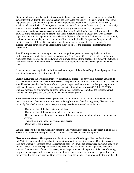**Strong evidence** means the applicant has submitted up to two evaluation reports demonstrating that the same intervention described in the application has been tested nationally, regionally, or at the state-level (e.g., multi-site) using a well-designed and well-implemented experimental design evaluation (i.e., Randomized Controlled Trial (RCT)) or a Quasi-Experimental Design evaluation (QED) with statistically matched comparison (i.e., counterfactual) and treatment groups. Alternatively, the proposed intervention's evidence may be based on multiple (up to two) well-designed and well-implemented QEDs or RCTs of the same intervention described in the application in different locations or with different populations within a local geographic area. The overall pattern of evaluation findings must be consistently positive on one or more key desired outcomes of interest as depicted in the applicant's logic model. Findings from the RCT or QED evaluations may be generalized beyond the study context. The evaluations were conducted by an independent entity external to the organization implementing the intervention.

AmeriCorps grantees recompeting for their third competitive grant cycle are required to submit an evaluation report of their AmeriCorps funded program. The C AmeriCorps NCS-required evaluation report may count towards one of the two reports allowed for the Strong evidence tier or may be submitted in addition to this. In the latter case, all three evaluation reports will be considered against the review criteria.

If the applicant is not required to submit an evaluation report of their AmeriCorps funded program, then more than two reports will not be considered.

**Impact evaluation** An evaluation that provides statistical evidence of how well a program achieves its desired outcomes and what effect it has on service recipients and/or service participants compared to what would have happened in the absence of the program. Impact evaluations must be designed to provide evidence of a causal relationship between program activities and outcomes (45 C.F.R. § 2522.700). Grantees must use an experimental or quasi-experimental evaluation design (i.e., the evaluation must include a control group or a statistically matched comparison group).

**Same intervention described in the application** The intervention evaluated in submitted evaluation reports must match the intervention proposed in the application in the following areas, all of which must be clearly described in the Program Design and Logic Model sections of the application:

- Characteristics of the beneficiary population
- Characteristics of the population delivering the intervention
- Dosage (frequency, duration) and design of the intervention, including all key components and activities
- The setting in which the intervention is delivered
- Outcomes of the intervention

Submitted reports that do not sufficiently match the intervention proposed by the applicant in all of these areas will not be considered applicable and will not be reviewed or receive any points.

**Fixed Amount Grants:** These grants provide a fixed amount of funding per Member Service Year (MSY) that is substantially lower than the amount required to operate the program. Organizations use their own or other resources to cover the remaining costs. Programs are not required to submit budgets or financial reports, there is no specific match requirement, and programs are not required to track and maintain documentation of match. However, AmeriCorps provides only a portion of the cost of running the program and organizations must raise the additional resources needed to run the program. Programs can access all of the funds, provided they recruit and retain the members supported under the grant based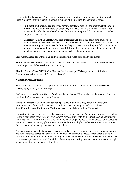on the MSY level awarded. Professional Corps programs applying for operational funding through a Fixed Amount Grant must submit a budget in support of their request for operational funds.

- **Full-cost Fixed amount grants:** Fixed amount grants are available for programs that enroll all types of member slots. Professional Corps may only have full-time members. Programs can access funds under the grant based on enrolling and retaining the full complement of members supported under the grant.
- **Education Award Grants (EAP) Fixed amount grant**: Programs apply for a small fixed amount per MSY, can enroll less than full-time members, and use their own resources to cover all other costs. Programs can access funds under the grant based on enrolling the full complement of members supported under the grant. As with full-time fixed amount grants, there are no specific match or financial reporting requirements for EAP fixed amount grants.

State Commissions can withhold up to 2% administrative funds from fixed price grants.

**Member Service Location:** A member service location is the site at which an AmeriCorps member is placed to provide his/her service to the community.

**Member Service Year (MSY):** One Member Service Year (MSY) is equivalent to a full-time AmeriCorps position (at least 1,700 service hours.)

#### **National Direct Applicants**

*Multi-state*: Organizations that propose to operate AmeriCorps programs in more than one state or territory apply directly to AmeriCorps.

*Federally-recognized Indian Tribes:* Applicants that are Indian Tribes apply directly to AmeriCorps (see the Eligible *Applicants* section in the *Notice.*)

*State and Territories without Commissions:* Applicants in South Dakota, American Samoa, the Commonwealth of the Northern Mariana Islands, and the U.S. Virgin Islands apply directly to AmeriCorps because this State and Territories have not established a State Commission.

**Operating Site:** An operating site is the organization that manages the AmeriCorps program on behalf of the multi-state recipient of the grant from AmeriCorps. A multi-state grantee must have an operating site in each state in which it has AmeriCorps members. AmeriCorps members may be placed at the operating site, or an operating site may place AmeriCorps members at multiple member service locations. Multifocused intermediaries may also have operating sites.

AmeriCorps anticipates that applicants have a carefully considered plan for their project implementation and have identified operating sites based on demonstrated community needs. AmeriCorps expects the sites proposed at the time of application to align with those involved in project implementation. However, if necessary, applicants can modify their list of operating sites during the clarification process or through an amendment to the application, if funded.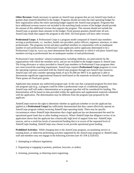**Other Revenue:** Funds necessary to operate an AmeriCorps program that are not AmeriCorps funds or grantee share (match) identified in the budget. Programs should not enter the total operating budget for their organization unless the entire operating budget supports the AmeriCorps program. Programs that have additional revenue sources not included in the matching funds section of the budget should provide the amount of this additional revenue that supports the program. This amount should not include the AmeriCorps or grantee share amounts in the budget. Fixed amount grantees should enter all non-AmeriCorps funds that support the program in this field. All fixed grants will have other revenue.

**Professional Corps:** A Professional Corps is a program model composed of AmeriCorps members serving as professionals, i.e., teachers, health care providers, police officers, engineers, attorneys, or other professionals. The programs recruit and place qualified members in communities with an inadequate number of such professionals. Professional Corps applicants and/or applicants determined to be a Professional Corps by AmeriCorps must demonstrate that the community in which it will place AmeriCorps members serving as professionals has an inadequate number of said professionals.

Professional Corps members' salaries/compensation, including childcare, are paid entirely by the organizations with which the members serve, and are not included in the budget request to AmeriCorps. The living allowance or salary provided to AmeriCorps members in Professional Corps programs does not count toward the matching requirement. AmeriCorps requires **Professional Corps** programs to cover the operating expenses associated with the AmeriCorps program through non-AmeriCorps resources. AmeriCorps will only consider operating funds of up to \$1,000 per MSY if an applicant is able to demonstrate significant organizational financial need based on the materials reviewed by AmeriCorps. These grants are fixed price grants.

Applicants may propose any authorized program type. In the case that a proposed program fits more than one program type (e.g., a program could be either a professional corps or a traditional program). AmeriCorps staff will make a determination as to program type that will be considered for funding. The determination will be based on data provided within the application and supplemental materials submitted with the application. The determination may be different from the program type proposed by the applicant.

AmeriCorps reserves the right to determine whether an applicant (whether or not the applicant has applied as a **Professional Corps)** has sufficiently demonstrated that they cannot effectively operate an AmeriCorps program without receiving AmeriCorps operating funds. There may be specific circumstances where AmeriCorps determines that a legal applicant has not demonstrated the need for operational grant funds due to other funding resources. Where AmeriCorps due diligence review of an application shows that the applicant has a historically high level of support from non- AmeriCorps sources, and as a result has levels of unrestricted funding that is in excess of the requested level of AmeriCorps funding, AmeriCorps may choose to not provide operational grant funding.

**Prohibited Activities:** While charging time to the AmeriCorps program, accumulating service or training hours, or otherwise performing activities supported by the AmeriCorps program or AmeriCorps, staff and members may not engage in the following activities (see 45 CFR § 2520.65):

- 1. Attempting to influence legislation;
- 2. Organizing or engaging in protests, petitions, boycotts, or strikes;
- 3. Assisting, promoting, or deterring union organizing;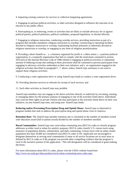4. Impairing existing contracts for services or collective bargaining agreements;

5. Engaging in partisan political activities, or other activities designed to influence the outcome of an election to any public office;

6. Participating in, or endorsing, events or activities that are likely to include advocacy for or against political parties, political platforms, political candidates, proposed legislation, or elected officials;

7. Engaging in religious instruction, conducting worship services, providing instruction as part of a program that includes mandatory religious instruction or worship, constructing or operating facilities devoted to religious instruction or worship, maintaining facilities primarily or inherently devoted to religious instruction or worship, or engaging in any form of religious proselytization;

8. Providing a direct benefit to— a. a business organized for profit; b. a labor union; c. a partisan political organization; d. a nonprofit organization that fails to comply with the restrictions contained in section 501(c)(3) of the Internal Revenue Code of 1986 related to engaging in political activities or substantial amount of lobbying except that nothing in these provisions shall be construed to prevent participants from engaging in advocacy activities undertaken at their own initiative; and e. an organization engaged in the religious activities described in paragraph C. 7. above, unless AmeriCorps assistance is not used to support those religious activities;

9. Conducting a voter registration drive or using AmeriCorps funds to conduct a voter registration drive;

10. Providing abortion services or referrals for receipt of such services; and

11. Such other activities as AmeriCorps may prohibit.

AmeriCorps members may not engage in the above activities directly or indirectly by recruiting, training, or managing others for the primary purpose of engaging in one of the activities listed above. Individuals may exercise their rights as private citizens and may participate in the activities listed above on their own initiative, on non-AmeriCorps time, and using non- AmeriCorps funds.

**Reducing and/or Preventing Prescription Drug and Opioid Abuse:** AmeriCorps is interested in program models that seek to address the prescription drug and opioid abuse crisis in America.

**Retention Rate:** The AmeriCorps member retention rate is calculated as the number of members exited with education award (full or partial award) divided by the number of members enrolled.

**Rural Communities:** AmeriCorps uses rural-urban commuting area (RUCA) codes to classify program addresses as either rural or urban for analytic purposes. RUCA codes classify U.S. census tracts using measures of population density, urbanization, and daily commuting. Census tracts with an urban cluster population less than 50,000 are considered rural (RUCA codes 4-10). Applicants are encouraged to designate themselves as serving rural communities if some or all service locations are in rural areas as defined by RUCA codes or if the program can provide other compelling evidence that the program is rural in the narrative portion of the application. This self-designation will be considered in grant-making decisions.

For more information about RUCA codes, please visit the USDA website found here: <http://www.ers.usda.gov/data-products/rural-urban-commuting-area-codes.aspx>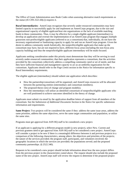The Office of Grant Administration uses Beale Codes when assessing alternative match requirements as the statue (45 CFR  $2521.60(c)$ ) requires it.

**Rural Intermediaries:** AmeriCorps recognizes that severely under-resourced communities may have limited capacity to successfully apply for and implement an AmeriCorps program, due to the size and organizational capacity of eligible applicant/host site organizations or the lack of available matching funds in these communities. Thus, it may be effective for a single eligible applicant (intermediary) to develop an application and oversee the implementation of an AmeriCorps program that engages multiple grassroots non-profits/eligible applicants (referred to as a consortium) that, individually, do not have the necessary organizational or fundraising capacity to apply for and run an AmeriCorps program. Given the desire to address community needs holistically, the nonprofits/eligible applicants that make up the consortium may have, but are not required to have, different focus areas (including the non-focus area capacity building) and thus the nonprofit/eligible applicant intermediary will be multi-focused.

Applicants seeking consideration under this priority must demonstrate that they will be serving in rural severely under-resourced communities; that their application represents a consortium, that the activities provided by the consortium collectively address a compelling community need or set of needs; and that they have sufficient financial and management capacity to act as an umbrella organization for the consortium. Applicants should refer to the *Page Limits* section in the *Notice* for information specific to Rural Intermediary requirements.

The eligible applicant (intermediary) should submit one application which describes:

- How the partnership/consortium will be organized, and AmeriCorps resources will be allocated between the partnering entities (intermediary and consortium members).
- The proposed theory (ies) of change and program model(s).
- How the intermediary will utilize an identified consortium of nonprofits/eligible applicants who are well positioned to achieve outcomes identified in the theory of change.

Applicants must submit via email by the application deadline letters of support from all members of the consortium. See the *Submission of Additional Documents* Section in the *Notice* for specific submission information and requirements.

**Same Project:** Two projects will be considered the same if they: address the same issue areas, address the same priorities, address the same objectives, serve the same target communities and population, or utilize the same sites.

Programs must get approval from ASN HQ staff to be considered a new project.

If an applicant is applying for a different program model (a new project), select New. Current and previous grantees need to get approval from ASN HQ staff to be considered a new project. AmeriCorps will consider a project to be new if there is a meaningful difference between it and previous projects in a comparison of the following characteristics, among others: the objectives and priorities of the projects; the nature of the services provided; the program staff, participants, and volunteers involved; the geographic locations in which the services are provided; the populations served; and the proposed community partnerships. (§ 2522.340).

Requests to be considered a new project should include information about how the new project differs from the previous project in the characteristics noted above. The request should also include the proposed name of the new project. AmeriCorps staff will review the request to determine if the proposed project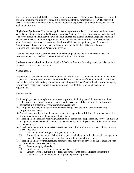does represent a meaningful difference from the previous project or if the proposed project is an example of natural program evolution over time. If it is determined that the project is new, ASN HQ staff will create a new project in eGrants. Applicants must request new projects significantly in advance of their application deadline.

**Single-State Applicants**: Single-state applicants are organizations that propose to operate in only one state; they must apply through the Governor-appointed State or Territory Commissions. Each state and territory commission administers its own selection process and submits to AmeriCorps the applicants it selects to compete for funding. Single-State applicants must contact their State Commissions to learn about their state or territory processes and deadlines which may be significantly *earlier* than the AmeriCorps deadlines and may have additional requirements. The list of State and Territory Commissions can be found on AmeriCorps website.

A single-state application submitted directly to AmeriCorps by the applicant rather than the State Commission will be considered noncompliant and will not be reviewed.

**Unallowable Activities**: In addition to the *Prohibited Activities*, the following restrictions also apply to the service of AmeriCorps members:

### Nonduplication.

Corporation assistance may not be used to duplicate an activity that is already available in the locality of a program. Corporation assistance will not be provided to a private nonprofit entity to conduct activities that are the same or substantially equivalent to activities provided by a State or local government agency in which such entity resides unless the entity complies with the following "nondisplacement" requirements.

#### Nondisplacement.

- (1) An employer may not displace an employee or position, including partial displacement such as reduction in hours, wages, or employment benefits, as a result of the use by such employer of a participant in a program receiving Corporation assistance.
- (2) An organization may not displace a volunteer by using a participant in a program receiving Corporation assistance.
- (3) A service opportunity will not be created under this chapter that will infringe in any manner on the promotional opportunity of an employed individual.
- (4) A participant in a program receiving Corporation assistance may not perform any services or duties or engage in activities that would otherwise be performed by an employee as part of the assigned duties of such employee.
- (5) A participant in any program receiving assistance may not perform any services or duties, or engage in activities, that—
	- (i) Will supplant the hiring of employed workers; or
	- (ii) Are services, duties, or activities with respect to which an individual has recall rights pursuant to a collective bargaining agreement or applicable personnel procedures.
- (6) A participant in any program receiving assistance may not perform services or duties that have been performed by or were assigned to any—
	- (i) Presently employed worker;
	- (ii) Employee who recently resigned or was discharged;
	- (iii) Employee who is subject to a reduction in force or who has recall rights pursuant to a collective bargaining agreement or applicable personnel procedures;